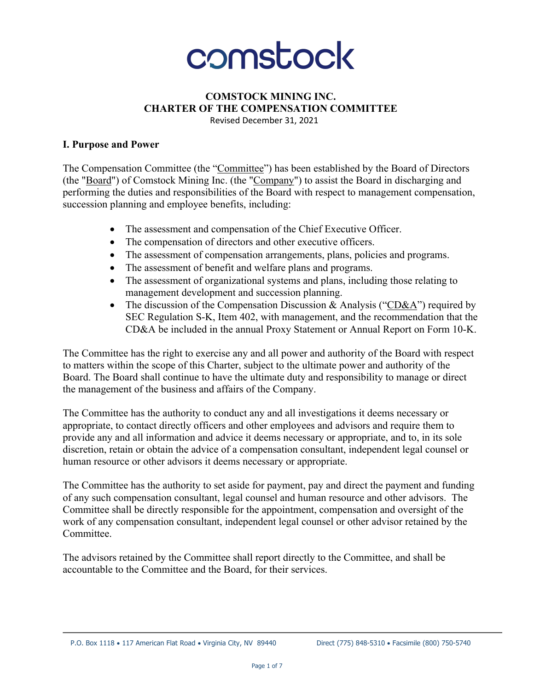

#### **COMSTOCK MINING INC. CHARTER OF THE COMPENSATION COMMITTEE** Revised December 31, 2021

#### **I. Purpose and Power**

The Compensation Committee (the "Committee") has been established by the Board of Directors (the "Board") of Comstock Mining Inc. (the "Company") to assist the Board in discharging and performing the duties and responsibilities of the Board with respect to management compensation, succession planning and employee benefits, including:

- The assessment and compensation of the Chief Executive Officer.
- The compensation of directors and other executive officers.
- The assessment of compensation arrangements, plans, policies and programs.
- The assessment of benefit and welfare plans and programs.
- The assessment of organizational systems and plans, including those relating to management development and succession planning.
- The discussion of the Compensation Discussion & Analysis ("CD&A") required by SEC Regulation S-K, Item 402, with management, and the recommendation that the CD&A be included in the annual Proxy Statement or Annual Report on Form 10-K.

The Committee has the right to exercise any and all power and authority of the Board with respect to matters within the scope of this Charter, subject to the ultimate power and authority of the Board. The Board shall continue to have the ultimate duty and responsibility to manage or direct the management of the business and affairs of the Company.

The Committee has the authority to conduct any and all investigations it deems necessary or appropriate, to contact directly officers and other employees and advisors and require them to provide any and all information and advice it deems necessary or appropriate, and to, in its sole discretion, retain or obtain the advice of a compensation consultant, independent legal counsel or human resource or other advisors it deems necessary or appropriate.

The Committee has the authority to set aside for payment, pay and direct the payment and funding of any such compensation consultant, legal counsel and human resource and other advisors. The Committee shall be directly responsible for the appointment, compensation and oversight of the work of any compensation consultant, independent legal counsel or other advisor retained by the Committee.

The advisors retained by the Committee shall report directly to the Committee, and shall be accountable to the Committee and the Board, for their services.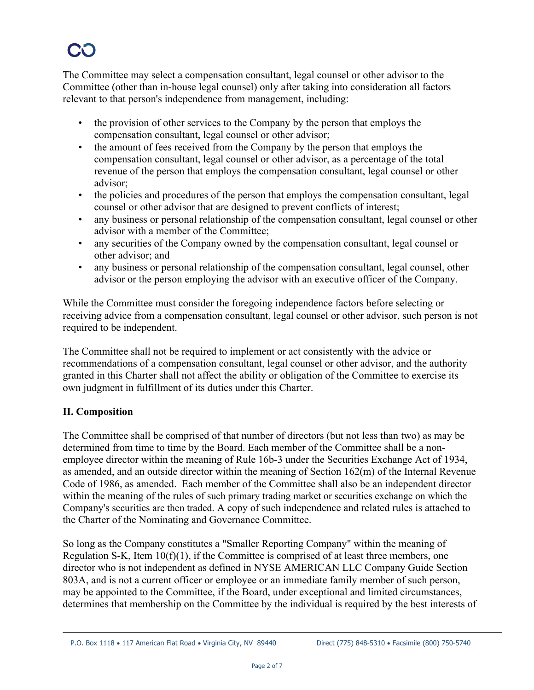The Committee may select a compensation consultant, legal counsel or other advisor to the Committee (other than in-house legal counsel) only after taking into consideration all factors relevant to that person's independence from management, including:

- the provision of other services to the Company by the person that employs the compensation consultant, legal counsel or other advisor;
- the amount of fees received from the Company by the person that employs the compensation consultant, legal counsel or other advisor, as a percentage of the total revenue of the person that employs the compensation consultant, legal counsel or other advisor;
- the policies and procedures of the person that employs the compensation consultant, legal counsel or other advisor that are designed to prevent conflicts of interest;
- any business or personal relationship of the compensation consultant, legal counsel or other advisor with a member of the Committee;
- any securities of the Company owned by the compensation consultant, legal counsel or other advisor; and
- any business or personal relationship of the compensation consultant, legal counsel, other advisor or the person employing the advisor with an executive officer of the Company.

While the Committee must consider the foregoing independence factors before selecting or receiving advice from a compensation consultant, legal counsel or other advisor, such person is not required to be independent.

The Committee shall not be required to implement or act consistently with the advice or recommendations of a compensation consultant, legal counsel or other advisor, and the authority granted in this Charter shall not affect the ability or obligation of the Committee to exercise its own judgment in fulfillment of its duties under this Charter.

## **II. Composition**

The Committee shall be comprised of that number of directors (but not less than two) as may be determined from time to time by the Board. Each member of the Committee shall be a nonemployee director within the meaning of Rule 16b-3 under the Securities Exchange Act of 1934, as amended, and an outside director within the meaning of Section 162(m) of the Internal Revenue Code of 1986, as amended. Each member of the Committee shall also be an independent director within the meaning of the rules of such primary trading market or securities exchange on which the Company's securities are then traded. A copy of such independence and related rules is attached to the Charter of the Nominating and Governance Committee.

So long as the Company constitutes a "Smaller Reporting Company" within the meaning of Regulation S-K, Item 10(f)(1), if the Committee is comprised of at least three members, one director who is not independent as defined in NYSE AMERICAN LLC Company Guide Section 803A, and is not a current officer or employee or an immediate family member of such person, may be appointed to the Committee, if the Board, under exceptional and limited circumstances, determines that membership on the Committee by the individual is required by the best interests of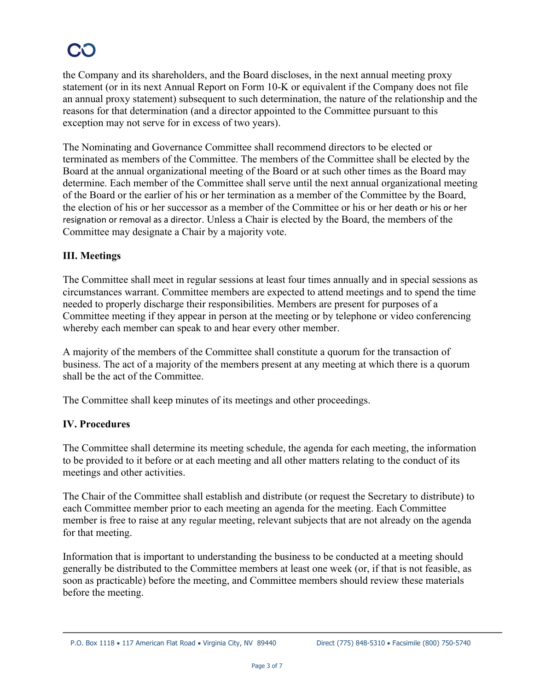the Company and its shareholders, and the Board discloses, in the next annual meeting proxy statement (or in its next Annual Report on Form 10-K or equivalent if the Company does not file an annual proxy statement) subsequent to such determination, the nature of the relationship and the reasons for that determination (and a director appointed to the Committee pursuant to this exception may not serve for in excess of two years).

The Nominating and Governance Committee shall recommend directors to be elected or terminated as members of the Committee. The members of the Committee shall be elected by the Board at the annual organizational meeting of the Board or at such other times as the Board may determine. Each member of the Committee shall serve until the next annual organizational meeting of the Board or the earlier of his or her termination as a member of the Committee by the Board, the election of his or her successor as a member of the Committee or his or her death or his or her resignation or removal as a director. Unless a Chair is elected by the Board, the members of the Committee may designate a Chair by a majority vote.

## **III. Meetings**

The Committee shall meet in regular sessions at least four times annually and in special sessions as circumstances warrant. Committee members are expected to attend meetings and to spend the time needed to properly discharge their responsibilities. Members are present for purposes of a Committee meeting if they appear in person at the meeting or by telephone or video conferencing whereby each member can speak to and hear every other member.

A majority of the members of the Committee shall constitute a quorum for the transaction of business. The act of a majority of the members present at any meeting at which there is a quorum shall be the act of the Committee.

The Committee shall keep minutes of its meetings and other proceedings.

## **IV. Procedures**

The Committee shall determine its meeting schedule, the agenda for each meeting, the information to be provided to it before or at each meeting and all other matters relating to the conduct of its meetings and other activities.

The Chair of the Committee shall establish and distribute (or request the Secretary to distribute) to each Committee member prior to each meeting an agenda for the meeting. Each Committee member is free to raise at any regular meeting, relevant subjects that are not already on the agenda for that meeting.

Information that is important to understanding the business to be conducted at a meeting should generally be distributed to the Committee members at least one week (or, if that is not feasible, as soon as practicable) before the meeting, and Committee members should review these materials before the meeting.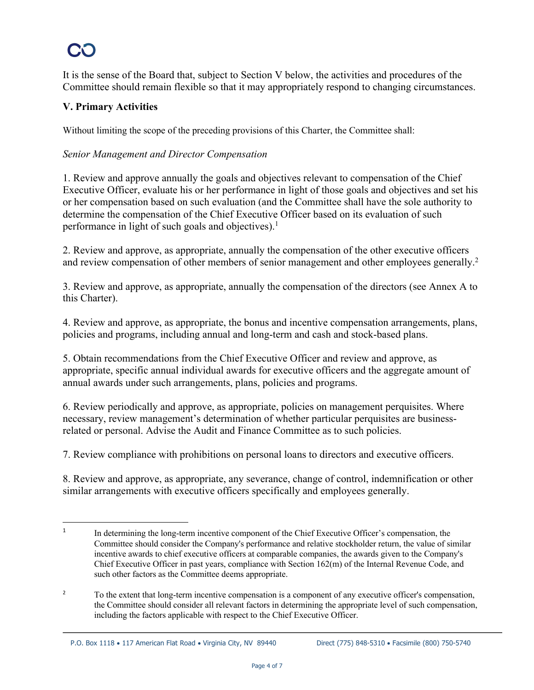It is the sense of the Board that, subject to Section V below, the activities and procedures of the Committee should remain flexible so that it may appropriately respond to changing circumstances.

## **V. Primary Activities**

Without limiting the scope of the preceding provisions of this Charter, the Committee shall:

## *Senior Management and Director Compensation*

1. Review and approve annually the goals and objectives relevant to compensation of the Chief Executive Officer, evaluate his or her performance in light of those goals and objectives and set his or her compensation based on such evaluation (and the Committee shall have the sole authority to determine the compensation of the Chief Executive Officer based on its evaluation of such performance in light of such goals and objectives).<sup>1</sup>

2. Review and approve, as appropriate, annually the compensation of the other executive officers and review compensation of other members of senior management and other employees generally.<sup>2</sup>

3. Review and approve, as appropriate, annually the compensation of the directors (see Annex A to this Charter).

4. Review and approve, as appropriate, the bonus and incentive compensation arrangements, plans, policies and programs, including annual and long-term and cash and stock-based plans.

5. Obtain recommendations from the Chief Executive Officer and review and approve, as appropriate, specific annual individual awards for executive officers and the aggregate amount of annual awards under such arrangements, plans, policies and programs.

6. Review periodically and approve, as appropriate, policies on management perquisites. Where necessary, review management's determination of whether particular perquisites are businessrelated or personal. Advise the Audit and Finance Committee as to such policies.

7. Review compliance with prohibitions on personal loans to directors and executive officers.

8. Review and approve, as appropriate, any severance, change of control, indemnification or other similar arrangements with executive officers specifically and employees generally.

<sup>&</sup>lt;sup>1</sup> In determining the long-term incentive component of the Chief Executive Officer's compensation, the Committee should consider the Company's performance and relative stockholder return, the value of similar incentive awards to chief executive officers at comparable companies, the awards given to the Company's Chief Executive Officer in past years, compliance with Section 162(m) of the Internal Revenue Code, and such other factors as the Committee deems appropriate.

<sup>&</sup>lt;sup>2</sup> To the extent that long-term incentive compensation is a component of any executive officer's compensation, the Committee should consider all relevant factors in determining the appropriate level of such compensation, including the factors applicable with respect to the Chief Executive Officer.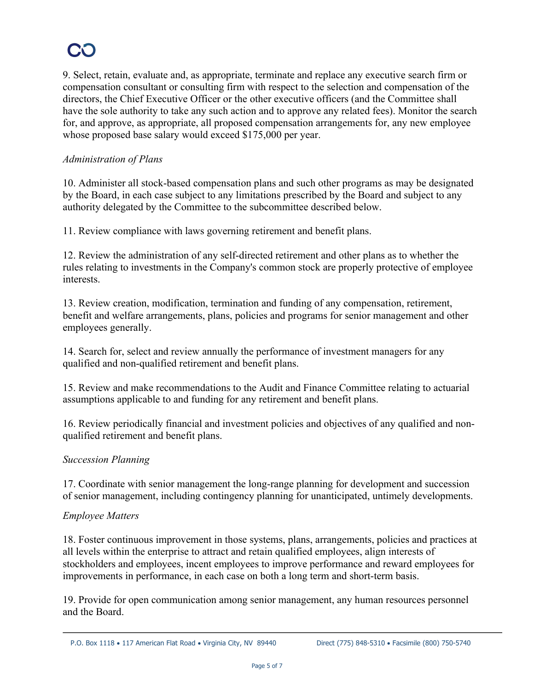9. Select, retain, evaluate and, as appropriate, terminate and replace any executive search firm or compensation consultant or consulting firm with respect to the selection and compensation of the directors, the Chief Executive Officer or the other executive officers (and the Committee shall have the sole authority to take any such action and to approve any related fees). Monitor the search for, and approve, as appropriate, all proposed compensation arrangements for, any new employee whose proposed base salary would exceed \$175,000 per year.

## *Administration of Plans*

10. Administer all stock-based compensation plans and such other programs as may be designated by the Board, in each case subject to any limitations prescribed by the Board and subject to any authority delegated by the Committee to the subcommittee described below.

11. Review compliance with laws governing retirement and benefit plans.

12. Review the administration of any self-directed retirement and other plans as to whether the rules relating to investments in the Company's common stock are properly protective of employee interests.

13. Review creation, modification, termination and funding of any compensation, retirement, benefit and welfare arrangements, plans, policies and programs for senior management and other employees generally.

14. Search for, select and review annually the performance of investment managers for any qualified and non-qualified retirement and benefit plans.

15. Review and make recommendations to the Audit and Finance Committee relating to actuarial assumptions applicable to and funding for any retirement and benefit plans.

16. Review periodically financial and investment policies and objectives of any qualified and nonqualified retirement and benefit plans.

## *Succession Planning*

17. Coordinate with senior management the long-range planning for development and succession of senior management, including contingency planning for unanticipated, untimely developments.

## *Employee Matters*

18. Foster continuous improvement in those systems, plans, arrangements, policies and practices at all levels within the enterprise to attract and retain qualified employees, align interests of stockholders and employees, incent employees to improve performance and reward employees for improvements in performance, in each case on both a long term and short-term basis.

19. Provide for open communication among senior management, any human resources personnel and the Board.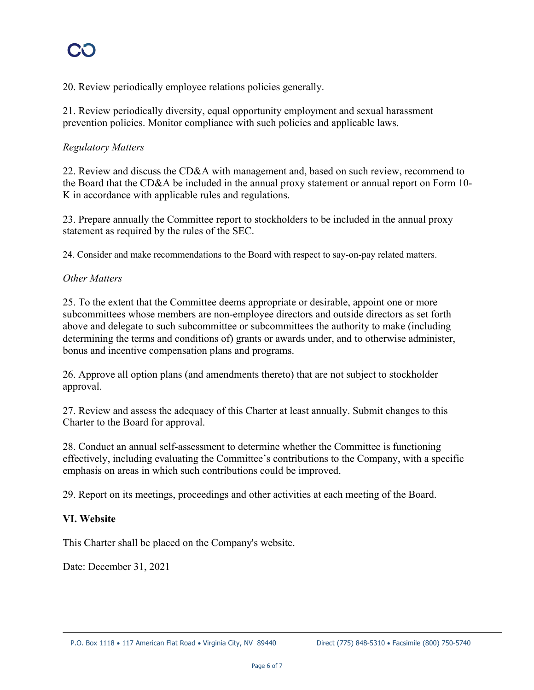20. Review periodically employee relations policies generally.

21. Review periodically diversity, equal opportunity employment and sexual harassment prevention policies. Monitor compliance with such policies and applicable laws.

#### *Regulatory Matters*

22. Review and discuss the CD&A with management and, based on such review, recommend to the Board that the CD&A be included in the annual proxy statement or annual report on Form 10- K in accordance with applicable rules and regulations.

23. Prepare annually the Committee report to stockholders to be included in the annual proxy statement as required by the rules of the SEC.

24. Consider and make recommendations to the Board with respect to say-on-pay related matters.

#### *Other Matters*

25. To the extent that the Committee deems appropriate or desirable, appoint one or more subcommittees whose members are non-employee directors and outside directors as set forth above and delegate to such subcommittee or subcommittees the authority to make (including determining the terms and conditions of) grants or awards under, and to otherwise administer, bonus and incentive compensation plans and programs.

26. Approve all option plans (and amendments thereto) that are not subject to stockholder approval.

27. Review and assess the adequacy of this Charter at least annually. Submit changes to this Charter to the Board for approval.

28. Conduct an annual self-assessment to determine whether the Committee is functioning effectively, including evaluating the Committee's contributions to the Company, with a specific emphasis on areas in which such contributions could be improved.

29. Report on its meetings, proceedings and other activities at each meeting of the Board.

#### **VI. Website**

This Charter shall be placed on the Company's website.

Date: December 31, 2021